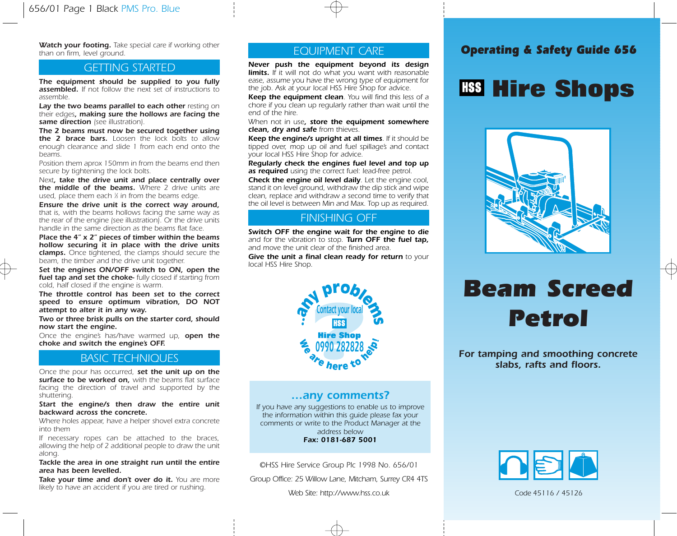Watch your footing. Take special care if working other<br> **EQUIPMENT CARE Caperating & Safety Guide 656** than on firm, level ground.

The equipment should be supplied to you fully assembled. If not follow the next set of instructions to assemble.

Lay the two beams parallel to each other resting on their edges, making sure the hollows are facing the same direction (see illustration).

The 2 beams must now be secured together using the 2 brace bars. Loosen the lock bolts to allow enough clearance and slide 1 from each end onto the beams.

Position them aprox 150mm in from the beams end then secure by tightening the lock bolts.

Next, take the drive unit and place centrally over the middle of the beams. Where 2 drive units are used, place them each % in from the beams edge.

Ensure the drive unit is the correct way around, that is, with the beams hollows facing the same way as the rear of the engine (see illustration). Or the drive units handle in the same direction as the beams flat face.

Place the 4" x 2" pieces of timber within the beams hollow securing it in place with the drive units clamps. Once tightened, the clamps should secure the beam, the timber and the drive unit together.

Set the engines ON/OFF switch to ON, open the fuel tap and set the choke- fully closed if starting from cold, half closed if the engine is warm.

The throttle control has been set to the correct speed to ensure optimum vibration, DO NOT attempt to alter it in any way.

Two or three brisk pulls on the starter cord, should now start the engine.

Once the engine's has/have warmed up, open the choke and switch the engine's OFF.

### BASIC TECHNIQUES

Once the pour has occurred, set the unit up on the surface to be worked on, with the beams flat surface facing the direction of travel and supported by the shuttering.

Start the engine/s then draw the entire unit backward across the concrete.

Where holes appear, have a helper shovel extra concrete into them

If necessary ropes can be attached to the braces, allowing the help of 2 additional people to draw the unit along.

Tackle the area in one straight run until the entire area has been levelled.

Take your time and don't over do it. You are more likely to have an accident if you are tired or rushing.

### EQUIPMENT CARE

GETTING STARTED Never push the equipment beyond its design limits. If it will not do what you want with reasonable ease, assume you have the wrong type of equipment for the job. Ask at your local HSS Hire Shop for advice.

> Keep the equipment clean. You will find this less of a chore if you clean up regularly rather than wait until the end of the hire.

> When not in use, store the equipment somewhere clean, dry and safe from thieves.

> Keep the engine/s upright at all times. If it should be tipped over, mop up oil and fuel spillage's and contact your local HSS Hire Shop for advice.

> Regularly check the engines fuel level and top up as required using the correct fuel: lead-free petrol.

> **Check the engine oil level daily.** Let the engine cool, stand it on level ground, withdraw the dip stick and wipe clean, replace and withdraw a second time to verify that the oil level is between Min and Max. Top up as required.

### FINISHING OFF

Switch OFF the engine wait for the engine to die and for the vibration to stop. **Turn OFF the fuel tap.** and move the unit clear of the finished area.

Give the unit a final clean ready for return to your local HSS Hire Shop.



### …any comments?

If you have any suggestions to enable us to improve the information within this guide please fax your comments or write to the Product Manager at the address below Fax: 0181-687 5001

©HSS Hire Service Group Plc 1998 No. 656/01

Group Office: 25 Willow Lane, Mitcham, Surrey CR4 4TS

Web Site: http://www.hss.co.uk

## **Hire Shops**



# Beam Screed Petrol

For tamping and smoothing concrete slabs, rafts and floors.



Code 45116 / 45126